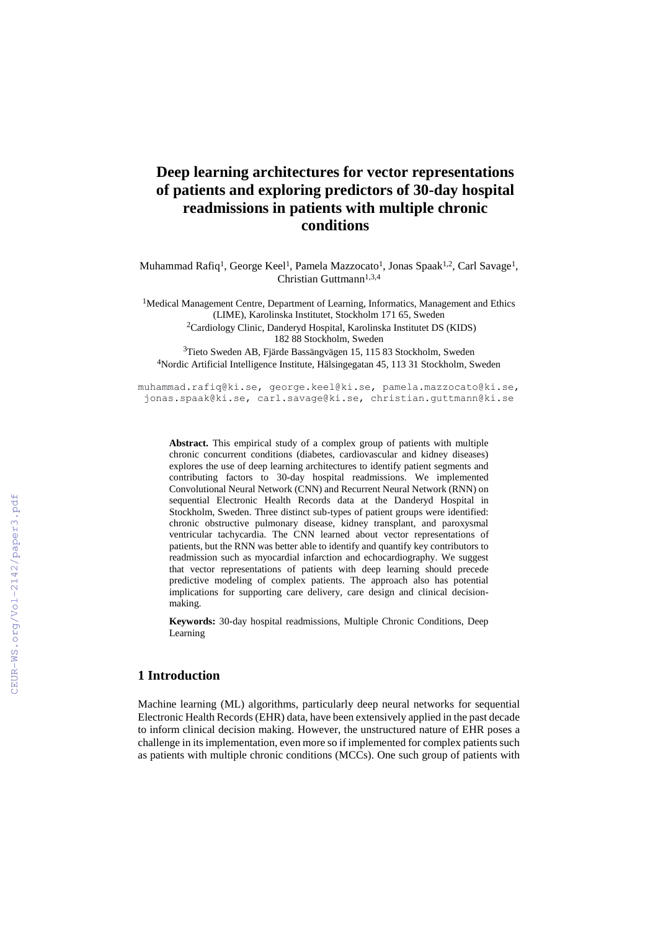# **Deep learning architectures for vector representations of patients and exploring predictors of 30-day hospital readmissions in patients with multiple chronic conditions**

Muhammad Rafiq<sup>1</sup>, George Keel<sup>1</sup>, Pamela Mazzocato<sup>1</sup>, Jonas Spaak<sup>1,2</sup>, Carl Savage<sup>1</sup>, Christian Guttmann<sup>1,3,4</sup>

<sup>1</sup>Medical Management Centre, Department of Learning, Informatics, Management and Ethics (LIME), Karolinska Institutet, Stockholm 171 65, Sweden <sup>2</sup>Cardiology Clinic, Danderyd Hospital, Karolinska Institutet DS (KIDS) 182 88 Stockholm, Sweden <sup>3</sup>Tieto Sweden AB, Fjärde Bassängvägen 15, 115 83 Stockholm, Sweden

<sup>4</sup>Nordic Artificial Intelligence Institute, Hälsingegatan 45, 113 31 Stockholm, Sweden

muhammad.rafiq@ki.se, george.keel@ki.se, pamela.mazzocato@ki.se, jonas.spaak@ki.se, carl.savage@ki.se, christian.guttmann@ki.se

**Abstract.** This empirical study of a complex group of patients with multiple chronic concurrent conditions (diabetes, cardiovascular and kidney diseases) explores the use of deep learning architectures to identify patient segments and contributing factors to 30-day hospital readmissions. We implemented Convolutional Neural Network (CNN) and Recurrent Neural Network (RNN) on sequential Electronic Health Records data at the Danderyd Hospital in Stockholm, Sweden. Three distinct sub-types of patient groups were identified: chronic obstructive pulmonary disease, kidney transplant, and paroxysmal ventricular tachycardia. The CNN learned about vector representations of patients, but the RNN was better able to identify and quantify key contributors to readmission such as myocardial infarction and echocardiography. We suggest that vector representations of patients with deep learning should precede predictive modeling of complex patients. The approach also has potential implications for supporting care delivery, care design and clinical decisionmaking.

**Keywords:** 30-day hospital readmissions, Multiple Chronic Conditions, Deep Learning

# **1 Introduction**

Machine learning (ML) algorithms, particularly deep neural networks for sequential Electronic Health Records (EHR) data, have been extensively applied in the past decade to inform clinical decision making. However, the unstructured nature of EHR poses a challenge in its implementation, even more so if implemented for complex patients such as patients with multiple chronic conditions (MCCs). One such group of patients with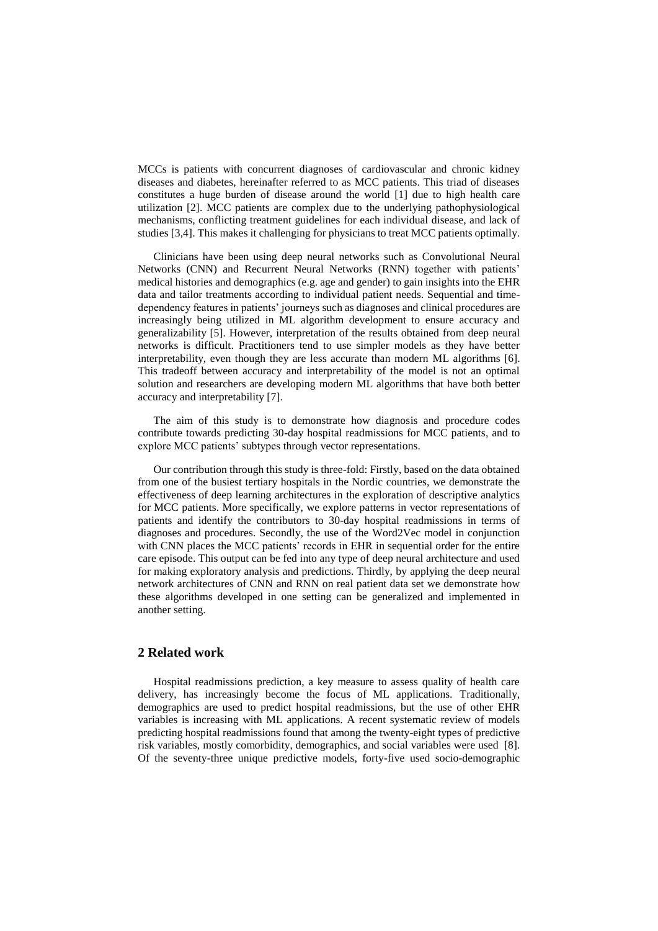MCCs is patients with concurrent diagnoses of cardiovascular and chronic kidney diseases and diabetes, hereinafter referred to as MCC patients. This triad of diseases constitutes a huge burden of disease around the world [1] due to high health care utilization [2]. MCC patients are complex due to the underlying pathophysiological mechanisms, conflicting treatment guidelines for each individual disease, and lack of studies [3,4]. This makes it challenging for physicians to treat MCC patients optimally.

Clinicians have been using deep neural networks such as Convolutional Neural Networks (CNN) and Recurrent Neural Networks (RNN) together with patients' medical histories and demographics (e.g. age and gender) to gain insights into the EHR data and tailor treatments according to individual patient needs. Sequential and timedependency features in patients' journeys such as diagnoses and clinical procedures are increasingly being utilized in ML algorithm development to ensure accuracy and generalizability [5]. However, interpretation of the results obtained from deep neural networks is difficult. Practitioners tend to use simpler models as they have better interpretability, even though they are less accurate than modern ML algorithms [6]. This tradeoff between accuracy and interpretability of the model is not an optimal solution and researchers are developing modern ML algorithms that have both better accuracy and interpretability [7].

The aim of this study is to demonstrate how diagnosis and procedure codes contribute towards predicting 30-day hospital readmissions for MCC patients, and to explore MCC patients' subtypes through vector representations.

Our contribution through this study is three-fold: Firstly, based on the data obtained from one of the busiest tertiary hospitals in the Nordic countries, we demonstrate the effectiveness of deep learning architectures in the exploration of descriptive analytics for MCC patients. More specifically, we explore patterns in vector representations of patients and identify the contributors to 30-day hospital readmissions in terms of diagnoses and procedures. Secondly, the use of the Word2Vec model in conjunction with CNN places the MCC patients' records in EHR in sequential order for the entire care episode. This output can be fed into any type of deep neural architecture and used for making exploratory analysis and predictions. Thirdly, by applying the deep neural network architectures of CNN and RNN on real patient data set we demonstrate how these algorithms developed in one setting can be generalized and implemented in another setting.

# **2 Related work**

Hospital readmissions prediction, a key measure to assess quality of health care delivery, has increasingly become the focus of ML applications. Traditionally, demographics are used to predict hospital readmissions, but the use of other EHR variables is increasing with ML applications. A recent systematic review of models predicting hospital readmissions found that among the twenty-eight types of predictive risk variables, mostly comorbidity, demographics, and social variables were used [8]. Of the seventy-three unique predictive models, forty-five used socio-demographic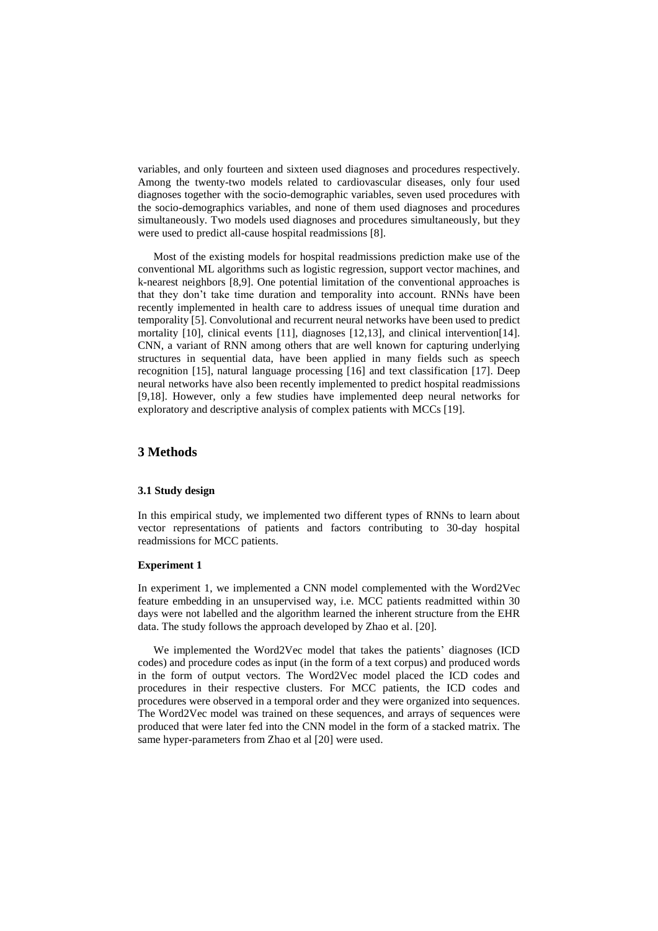variables, and only fourteen and sixteen used diagnoses and procedures respectively. Among the twenty-two models related to cardiovascular diseases, only four used diagnoses together with the socio-demographic variables, seven used procedures with the socio-demographics variables, and none of them used diagnoses and procedures simultaneously. Two models used diagnoses and procedures simultaneously, but they were used to predict all-cause hospital readmissions [8].

Most of the existing models for hospital readmissions prediction make use of the conventional ML algorithms such as logistic regression, support vector machines, and k-nearest neighbors [8,9]. One potential limitation of the conventional approaches is that they don't take time duration and temporality into account. RNNs have been recently implemented in health care to address issues of unequal time duration and temporality [5]. Convolutional and recurrent neural networks have been used to predict mortality [10], clinical events [11], diagnoses [12,13], and clinical intervention[14]. CNN, a variant of RNN among others that are well known for capturing underlying structures in sequential data, have been applied in many fields such as speech recognition [15], natural language processing [16] and text classification [17]. Deep neural networks have also been recently implemented to predict hospital readmissions [9,18]. However, only a few studies have implemented deep neural networks for exploratory and descriptive analysis of complex patients with MCCs [19].

# **3 Methods**

### **3.1 Study design**

In this empirical study, we implemented two different types of RNNs to learn about vector representations of patients and factors contributing to 30-day hospital readmissions for MCC patients.

### **Experiment 1**

In experiment 1, we implemented a CNN model complemented with the Word2Vec feature embedding in an unsupervised way, i.e. MCC patients readmitted within 30 days were not labelled and the algorithm learned the inherent structure from the EHR data. The study follows the approach developed by Zhao et al. [20].

We implemented the Word2Vec model that takes the patients' diagnoses (ICD codes) and procedure codes as input (in the form of a text corpus) and produced words in the form of output vectors. The Word2Vec model placed the ICD codes and procedures in their respective clusters. For MCC patients, the ICD codes and procedures were observed in a temporal order and they were organized into sequences. The Word2Vec model was trained on these sequences, and arrays of sequences were produced that were later fed into the CNN model in the form of a stacked matrix. The same hyper-parameters from Zhao et al [20] were used.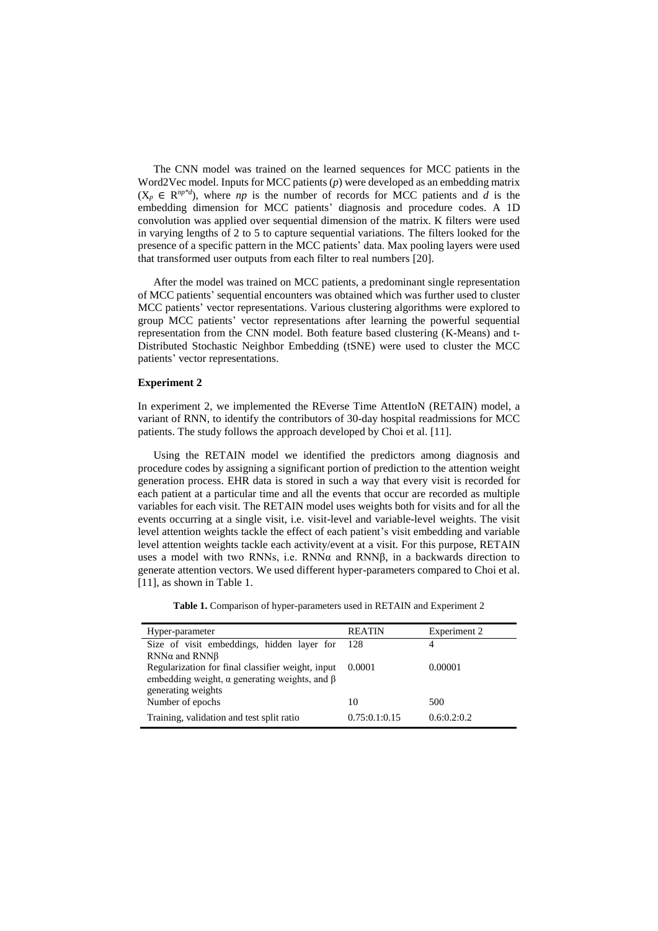The CNN model was trained on the learned sequences for MCC patients in the Word2Vec model. Inputs for MCC patients (*p*) were developed as an embedding matrix  $(X_p \in \mathbb{R}^{np*d})$ , where *np* is the number of records for MCC patients and *d* is the embedding dimension for MCC patients' diagnosis and procedure codes. A 1D convolution was applied over sequential dimension of the matrix. K filters were used in varying lengths of 2 to 5 to capture sequential variations. The filters looked for the presence of a specific pattern in the MCC patients' data. Max pooling layers were used that transformed user outputs from each filter to real numbers [20].

After the model was trained on MCC patients, a predominant single representation of MCC patients' sequential encounters was obtained which was further used to cluster MCC patients' vector representations. Various clustering algorithms were explored to group MCC patients' vector representations after learning the powerful sequential representation from the CNN model. Both feature based clustering (K-Means) and t-Distributed Stochastic Neighbor Embedding (tSNE) were used to cluster the MCC patients' vector representations.

## **Experiment 2**

In experiment 2, we implemented the REverse Time AttentIoN (RETAIN) model, a variant of RNN, to identify the contributors of 30-day hospital readmissions for MCC patients. The study follows the approach developed by Choi et al. [11].

Using the RETAIN model we identified the predictors among diagnosis and procedure codes by assigning a significant portion of prediction to the attention weight generation process. EHR data is stored in such a way that every visit is recorded for each patient at a particular time and all the events that occur are recorded as multiple variables for each visit. The RETAIN model uses weights both for visits and for all the events occurring at a single visit, i.e. visit-level and variable-level weights. The visit level attention weights tackle the effect of each patient's visit embedding and variable level attention weights tackle each activity/event at a visit. For this purpose, RETAIN uses a model with two RNNs, i.e. RNNα and RNNβ, in a backwards direction to generate attention vectors. We used different hyper-parameters compared to Choi et al. [11], as shown in Table 1.

Table 1. Comparison of hyper-parameters used in RETAIN and Experiment 2

| Hyper-parameter                                            | <b>REATIN</b> | Experiment 2 |
|------------------------------------------------------------|---------------|--------------|
| Size of visit embeddings, hidden layer for 128             |               | 4            |
| RNN $\alpha$ and RNN $\beta$                               |               |              |
| Regularization for final classifier weight, input          | 0.0001        | 0.00001      |
| embedding weight, $\alpha$ generating weights, and $\beta$ |               |              |
| generating weights                                         |               |              |
| Number of epochs                                           | 10            | 500          |
| Training, validation and test split ratio                  | 0.75:0.1:0.15 | 0.6:0.2:0.2  |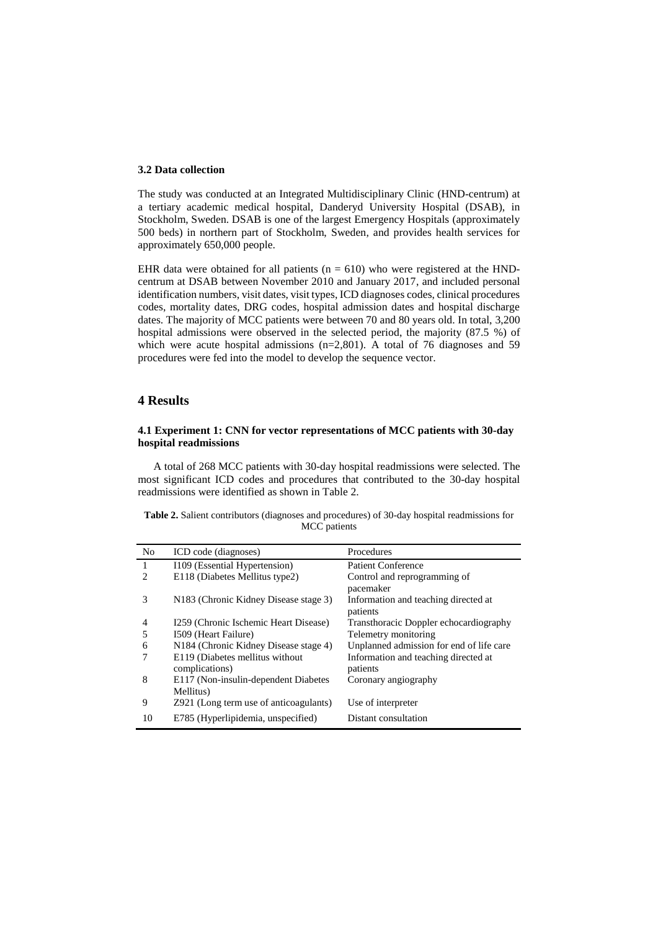#### **3.2 Data collection**

The study was conducted at an Integrated Multidisciplinary Clinic (HND-centrum) at a tertiary academic medical hospital, Danderyd University Hospital (DSAB), in Stockholm, Sweden. DSAB is one of the largest Emergency Hospitals (approximately 500 beds) in northern part of Stockholm, Sweden, and provides health services for approximately 650,000 people.

EHR data were obtained for all patients ( $n = 610$ ) who were registered at the HNDcentrum at DSAB between November 2010 and January 2017, and included personal identification numbers, visit dates, visit types, ICD diagnoses codes, clinical procedures codes, mortality dates, DRG codes, hospital admission dates and hospital discharge dates. The majority of MCC patients were between 70 and 80 years old. In total, 3,200 hospital admissions were observed in the selected period, the majority (87.5 %) of which were acute hospital admissions (n=2,801). A total of 76 diagnoses and 59 procedures were fed into the model to develop the sequence vector.

## **4 Results**

## **4.1 Experiment 1: CNN for vector representations of MCC patients with 30-day hospital readmissions**

A total of 268 MCC patients with 30-day hospital readmissions were selected. The most significant ICD codes and procedures that contributed to the 30-day hospital readmissions were identified as shown in Table 2.

| <b>Table 2.</b> Salient contributors (diagnoses and procedures) of 30-day hospital readmissions for |
|-----------------------------------------------------------------------------------------------------|
| MCC patients                                                                                        |

| N <sub>0</sub>              | ICD code (diagnoses)                              | Procedures                               |
|-----------------------------|---------------------------------------------------|------------------------------------------|
| 1                           | 1109 (Essential Hypertension)                     | <b>Patient Conference</b>                |
| $\mathcal{D}_{\mathcal{A}}$ | E118 (Diabetes Mellitus type2)                    | Control and reprogramming of             |
|                             |                                                   | pacemaker                                |
| 3                           | N <sub>183</sub> (Chronic Kidney Disease stage 3) | Information and teaching directed at     |
|                             |                                                   | patients                                 |
| 4                           | 1259 (Chronic Ischemic Heart Disease)             | Transthoracic Doppler echocardiography   |
| 5                           | 1509 (Heart Failure)                              | Telemetry monitoring                     |
| 6                           | N184 (Chronic Kidney Disease stage 4)             | Unplanned admission for end of life care |
|                             | E119 (Diabetes mellitus without                   | Information and teaching directed at     |
|                             | complications)                                    | patients                                 |
| 8                           | E117 (Non-insulin-dependent Diabetes              | Coronary angiography                     |
|                             | Mellitus)                                         |                                          |
| 9                           | Z921 (Long term use of anticoagulants)            | Use of interpreter                       |
| 10                          | E785 (Hyperlipidemia, unspecified)                | Distant consultation                     |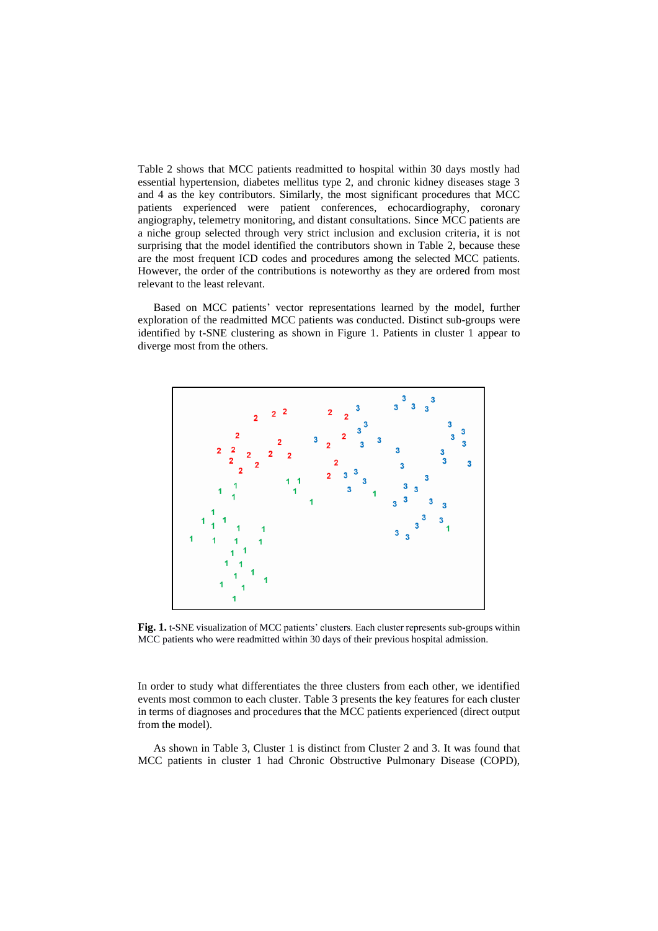Table 2 shows that MCC patients readmitted to hospital within 30 days mostly had essential hypertension, diabetes mellitus type 2, and chronic kidney diseases stage 3 and 4 as the key contributors. Similarly, the most significant procedures that MCC patients experienced were patient conferences, echocardiography, coronary angiography, telemetry monitoring, and distant consultations. Since MCC patients are a niche group selected through very strict inclusion and exclusion criteria, it is not surprising that the model identified the contributors shown in Table 2, because these are the most frequent ICD codes and procedures among the selected MCC patients. However, the order of the contributions is noteworthy as they are ordered from most relevant to the least relevant.

Based on MCC patients' vector representations learned by the model, further exploration of the readmitted MCC patients was conducted. Distinct sub-groups were identified by t-SNE clustering as shown in Figure 1. Patients in cluster 1 appear to diverge most from the others.



Fig. 1. t-SNE visualization of MCC patients' clusters. Each cluster represents sub-groups within MCC patients who were readmitted within 30 days of their previous hospital admission.

In order to study what differentiates the three clusters from each other, we identified events most common to each cluster. Table 3 presents the key features for each cluster in terms of diagnoses and procedures that the MCC patients experienced (direct output from the model).

As shown in Table 3, Cluster 1 is distinct from Cluster 2 and 3. It was found that MCC patients in cluster 1 had Chronic Obstructive Pulmonary Disease (COPD),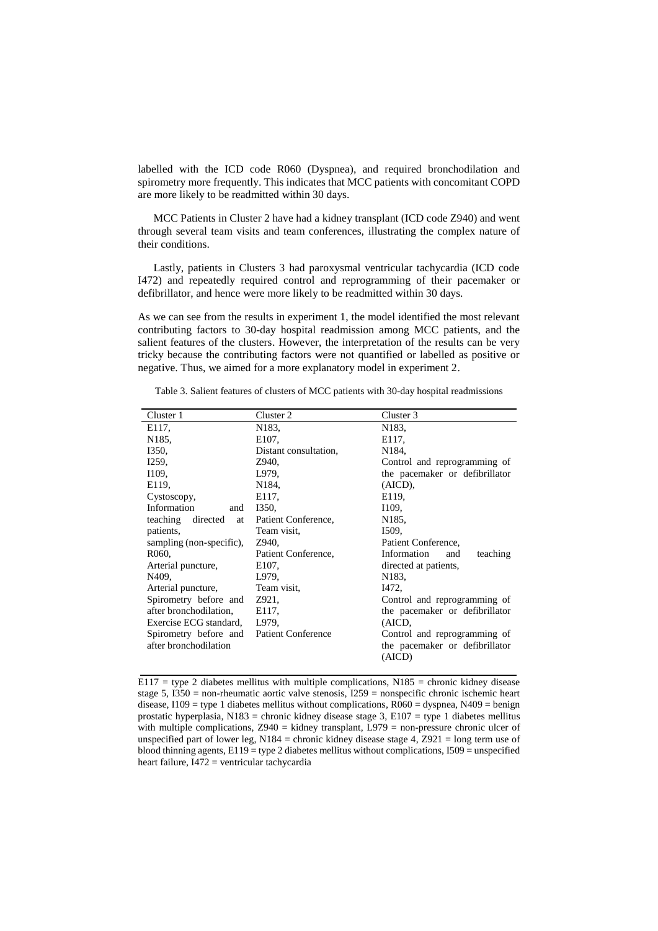labelled with the ICD code R060 (Dyspnea), and required bronchodilation and spirometry more frequently. This indicates that MCC patients with concomitant COPD are more likely to be readmitted within 30 days.

MCC Patients in Cluster 2 have had a kidney transplant (ICD code Z940) and went through several team visits and team conferences, illustrating the complex nature of their conditions.

Lastly, patients in Clusters 3 had paroxysmal ventricular tachycardia (ICD code I472) and repeatedly required control and reprogramming of their pacemaker or defibrillator, and hence were more likely to be readmitted within 30 days.

As we can see from the results in experiment 1, the model identified the most relevant contributing factors to 30-day hospital readmission among MCC patients, and the salient features of the clusters. However, the interpretation of the results can be very tricky because the contributing factors were not quantified or labelled as positive or negative. Thus, we aimed for a more explanatory model in experiment 2.

| Cluster 2             | Cluster 3                                |
|-----------------------|------------------------------------------|
| N183.                 | N <sub>1</sub> 83.                       |
| E <sub>107</sub> .    | E117.                                    |
| Distant consultation, | N <sub>184</sub>                         |
| Z940,                 | Control and reprogramming of             |
| L979,                 | the pacemaker or defibrillator           |
| N184.                 | (AICD),                                  |
| E117,                 | E119.                                    |
| I350,                 | I109,                                    |
| Patient Conference,   | N <sub>1</sub> 85.                       |
| Team visit,           | I509,                                    |
| Z940,                 | Patient Conference,                      |
| Patient Conference,   | Information<br>teaching<br>and           |
| E <sub>107</sub> .    | directed at patients,                    |
| L979,                 | N <sub>1</sub> 83.                       |
| Team visit,           | I472,                                    |
| Z921,                 | Control and reprogramming of             |
| E117,                 | the pacemaker or defibrillator           |
| L979,                 | (AICD,                                   |
|                       | Control and reprogramming of             |
|                       | the pacemaker or defibrillator           |
|                       | (AICD)                                   |
|                       | Spirometry before and Patient Conference |

Table 3. Salient features of clusters of MCC patients with 30-day hospital readmissions

 $E117 =$  type 2 diabetes mellitus with multiple complications, N185 = chronic kidney disease stage 5, I350 = non-rheumatic aortic valve stenosis, I259 = nonspecific chronic ischemic heart disease,  $1109 =$  type 1 diabetes mellitus without complications,  $R060 =$  dyspnea,  $N409 =$  benign prostatic hyperplasia, N183 = chronic kidney disease stage 3, E107 = type 1 diabetes mellitus with multiple complications,  $Z940 =$  kidney transplant,  $L979 =$  non-pressure chronic ulcer of unspecified part of lower leg, N184 = chronic kidney disease stage 4, Z921 = long term use of blood thinning agents,  $E119 =$  type 2 diabetes mellitus without complications,  $I509 =$  unspecified heart failure, I472 = ventricular tachycardia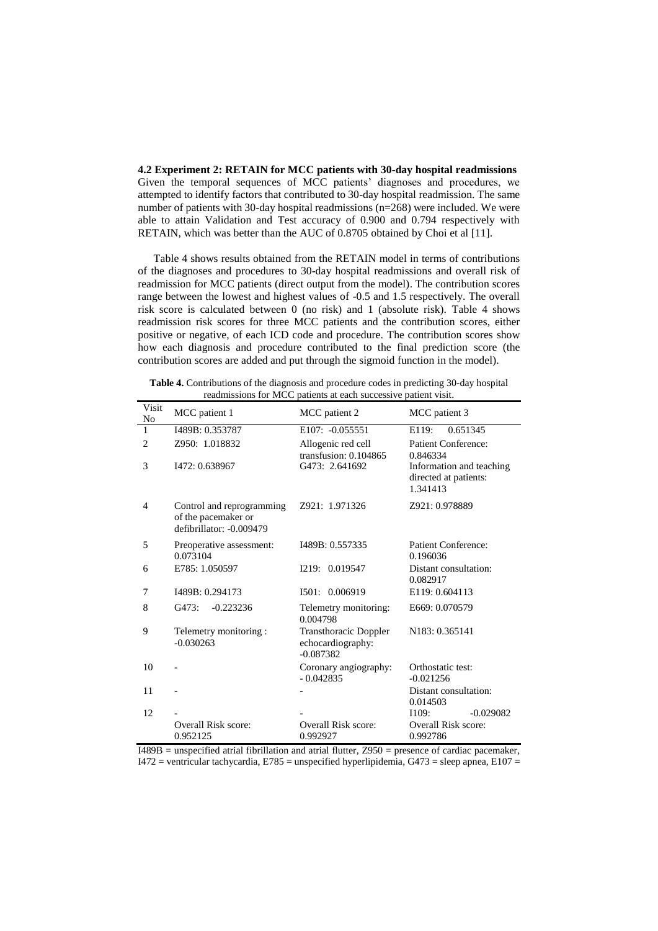**4.2 Experiment 2: RETAIN for MCC patients with 30-day hospital readmissions** Given the temporal sequences of MCC patients' diagnoses and procedures, we attempted to identify factors that contributed to 30-day hospital readmission. The same number of patients with 30-day hospital readmissions (n=268) were included. We were able to attain Validation and Test accuracy of 0.900 and 0.794 respectively with RETAIN, which was better than the AUC of 0.8705 obtained by Choi et al [11].

Table 4 shows results obtained from the RETAIN model in terms of contributions of the diagnoses and procedures to 30-day hospital readmissions and overall risk of readmission for MCC patients (direct output from the model). The contribution scores range between the lowest and highest values of -0.5 and 1.5 respectively. The overall risk score is calculated between 0 (no risk) and 1 (absolute risk). Table 4 shows readmission risk scores for three MCC patients and the contribution scores, either positive or negative, of each ICD code and procedure. The contribution scores show how each diagnosis and procedure contributed to the final prediction score (the contribution scores are added and put through the sigmoid function in the model).

**Table 4.** Contributions of the diagnosis and procedure codes in predicting 30-day hospital readmissions for MCC patients at each successive patient visit.

| Visit<br>No    | MCC patient 1                                                                | MCC patient 2                                                    | MCC patient 3                                                 |
|----------------|------------------------------------------------------------------------------|------------------------------------------------------------------|---------------------------------------------------------------|
| $\mathbf{1}$   | I489B: 0.353787                                                              | E107: -0.055551                                                  | 0.651345<br>E119:                                             |
| 2              | Z950: 1.018832                                                               | Allogenic red cell<br>transfusion: 0.104865                      | <b>Patient Conference:</b><br>0.846334                        |
| 3              | I472: 0.638967                                                               | G473: 2.641692                                                   | Information and teaching<br>directed at patients:<br>1.341413 |
| $\overline{4}$ | Control and reprogramming<br>of the pacemaker or<br>defibrillator: -0.009479 | Z921: 1.971326                                                   | Z921: 0.978889                                                |
| 5              | Preoperative assessment:<br>0.073104                                         | I489B: 0.557335                                                  | Patient Conference:<br>0.196036                               |
| 6              | E785: 1.050597                                                               | I219: 0.019547                                                   | Distant consultation:<br>0.082917                             |
| 7              | I489B: 0.294173                                                              | 1501: 0.006919                                                   | E119: 0.604113                                                |
| 8              | G473:<br>$-0.223236$                                                         | Telemetry monitoring:<br>0.004798                                | E669: 0.070579                                                |
| 9              | Telemetry monitoring:<br>$-0.030263$                                         | <b>Transthoracic Doppler</b><br>echocardiography:<br>$-0.087382$ | N183: 0.365141                                                |
| 10             |                                                                              | Coronary angiography:<br>$-0.042835$                             | Orthostatic test:<br>$-0.021256$                              |
| 11             |                                                                              |                                                                  | Distant consultation:<br>0.014503                             |
| 12             |                                                                              |                                                                  | $-0.029082$<br>I109:                                          |
|                | Overall Risk score:                                                          | Overall Risk score:                                              | Overall Risk score:                                           |
|                | 0.952125                                                                     | 0.992927                                                         | 0.992786                                                      |

 $I489B$  = unspecified atrial fibrillation and atrial flutter,  $Z950$  = presence of cardiac pacemaker, I472 = ventricular tachycardia, E785 = unspecified hyperlipidemia, G473 = sleep apnea, E107 =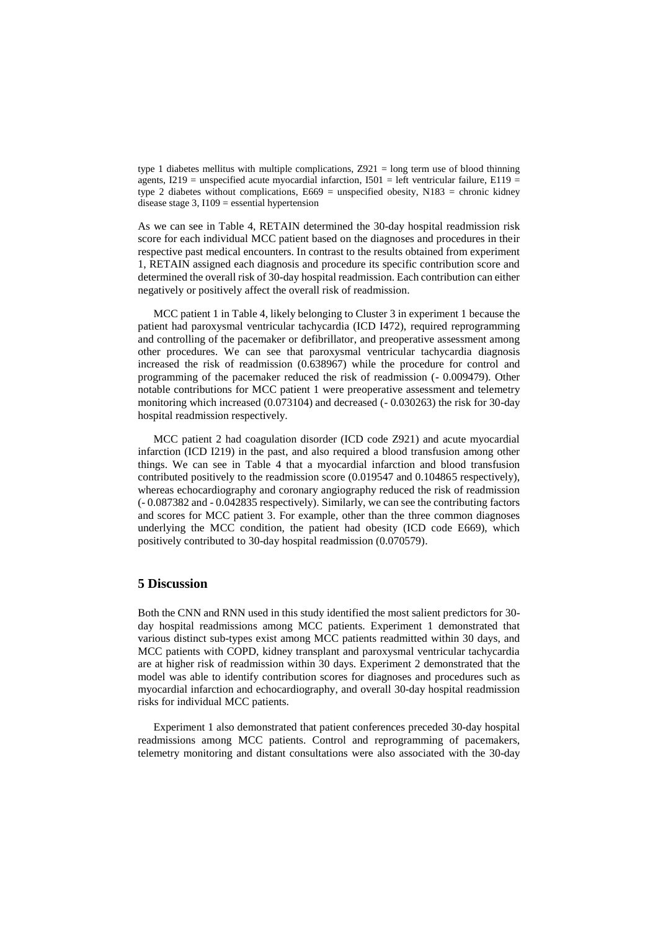type 1 diabetes mellitus with multiple complications,  $Z921 =$ long term use of blood thinning agents,  $I219$  = unspecified acute myocardial infarction,  $I501$  = left ventricular failure,  $E119$  = type 2 diabetes without complications,  $E669$  = unspecified obesity, N183 = chronic kidney disease stage  $3$ ,  $1109$  = essential hypertension

As we can see in Table 4, RETAIN determined the 30-day hospital readmission risk score for each individual MCC patient based on the diagnoses and procedures in their respective past medical encounters. In contrast to the results obtained from experiment 1, RETAIN assigned each diagnosis and procedure its specific contribution score and determined the overall risk of 30-day hospital readmission. Each contribution can either negatively or positively affect the overall risk of readmission.

MCC patient 1 in Table 4, likely belonging to Cluster 3 in experiment 1 because the patient had paroxysmal ventricular tachycardia (ICD I472), required reprogramming and controlling of the pacemaker or defibrillator, and preoperative assessment among other procedures. We can see that paroxysmal ventricular tachycardia diagnosis increased the risk of readmission (0.638967) while the procedure for control and programming of the pacemaker reduced the risk of readmission (- 0.009479). Other notable contributions for MCC patient 1 were preoperative assessment and telemetry monitoring which increased (0.073104) and decreased (- 0.030263) the risk for 30-day hospital readmission respectively.

MCC patient 2 had coagulation disorder (ICD code Z921) and acute myocardial infarction (ICD I219) in the past, and also required a blood transfusion among other things. We can see in Table 4 that a myocardial infarction and blood transfusion contributed positively to the readmission score (0.019547 and 0.104865 respectively), whereas echocardiography and coronary angiography reduced the risk of readmission (- 0.087382 and - 0.042835 respectively). Similarly, we can see the contributing factors and scores for MCC patient 3. For example, other than the three common diagnoses underlying the MCC condition, the patient had obesity (ICD code E669), which positively contributed to 30-day hospital readmission (0.070579).

### **5 Discussion**

Both the CNN and RNN used in this study identified the most salient predictors for 30 day hospital readmissions among MCC patients. Experiment 1 demonstrated that various distinct sub-types exist among MCC patients readmitted within 30 days, and MCC patients with COPD, kidney transplant and paroxysmal ventricular tachycardia are at higher risk of readmission within 30 days. Experiment 2 demonstrated that the model was able to identify contribution scores for diagnoses and procedures such as myocardial infarction and echocardiography, and overall 30-day hospital readmission risks for individual MCC patients.

Experiment 1 also demonstrated that patient conferences preceded 30-day hospital readmissions among MCC patients. Control and reprogramming of pacemakers, telemetry monitoring and distant consultations were also associated with the 30-day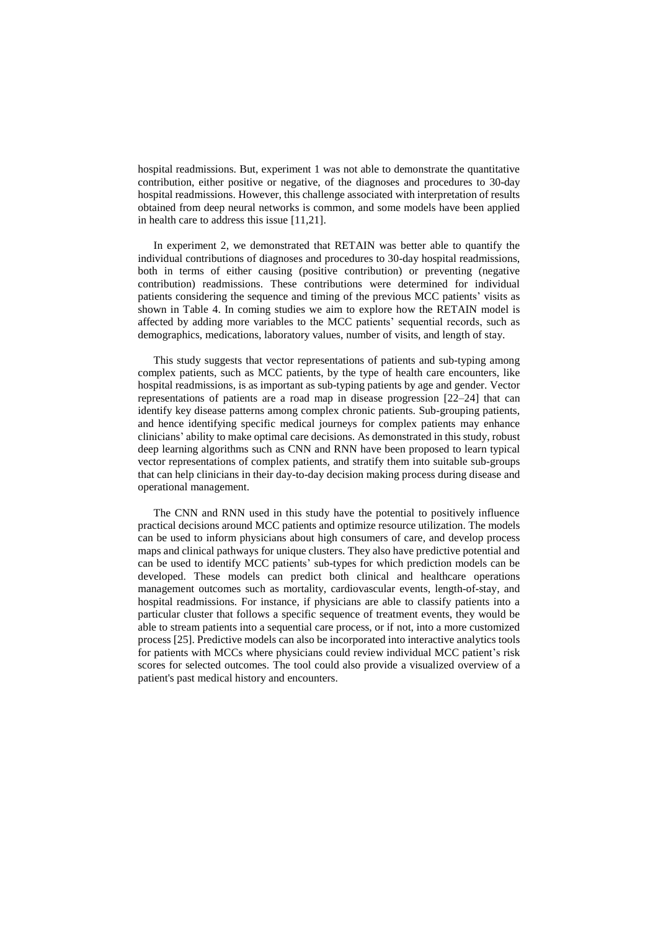hospital readmissions. But, experiment 1 was not able to demonstrate the quantitative contribution, either positive or negative, of the diagnoses and procedures to 30-day hospital readmissions. However, this challenge associated with interpretation of results obtained from deep neural networks is common, and some models have been applied in health care to address this issue [11,21].

In experiment 2, we demonstrated that RETAIN was better able to quantify the individual contributions of diagnoses and procedures to 30-day hospital readmissions, both in terms of either causing (positive contribution) or preventing (negative contribution) readmissions. These contributions were determined for individual patients considering the sequence and timing of the previous MCC patients' visits as shown in Table 4. In coming studies we aim to explore how the RETAIN model is affected by adding more variables to the MCC patients' sequential records, such as demographics, medications, laboratory values, number of visits, and length of stay.

This study suggests that vector representations of patients and sub-typing among complex patients, such as MCC patients, by the type of health care encounters, like hospital readmissions, is as important as sub-typing patients by age and gender. Vector representations of patients are a road map in disease progression [22–24] that can identify key disease patterns among complex chronic patients. Sub-grouping patients, and hence identifying specific medical journeys for complex patients may enhance clinicians' ability to make optimal care decisions. As demonstrated in this study, robust deep learning algorithms such as CNN and RNN have been proposed to learn typical vector representations of complex patients, and stratify them into suitable sub-groups that can help clinicians in their day-to-day decision making process during disease and operational management.

The CNN and RNN used in this study have the potential to positively influence practical decisions around MCC patients and optimize resource utilization. The models can be used to inform physicians about high consumers of care, and develop process maps and clinical pathways for unique clusters. They also have predictive potential and can be used to identify MCC patients' sub-types for which prediction models can be developed. These models can predict both clinical and healthcare operations management outcomes such as mortality, cardiovascular events, length-of-stay, and hospital readmissions. For instance, if physicians are able to classify patients into a particular cluster that follows a specific sequence of treatment events, they would be able to stream patients into a sequential care process, or if not, into a more customized process [25]. Predictive models can also be incorporated into interactive analytics tools for patients with MCCs where physicians could review individual MCC patient's risk scores for selected outcomes. The tool could also provide a visualized overview of a patient's past medical history and encounters.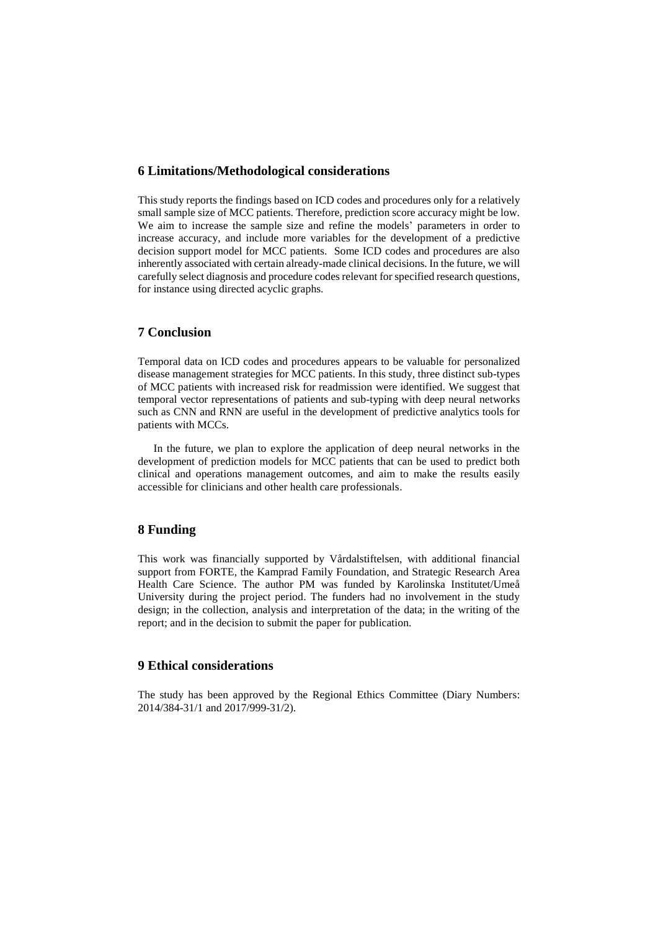### **6 Limitations/Methodological considerations**

This study reports the findings based on ICD codes and procedures only for a relatively small sample size of MCC patients. Therefore, prediction score accuracy might be low. We aim to increase the sample size and refine the models' parameters in order to increase accuracy, and include more variables for the development of a predictive decision support model for MCC patients. Some ICD codes and procedures are also inherently associated with certain already-made clinical decisions. In the future, we will carefully select diagnosis and procedure codesrelevant for specified research questions, for instance using directed acyclic graphs.

# **7 Conclusion**

Temporal data on ICD codes and procedures appears to be valuable for personalized disease management strategies for MCC patients. In this study, three distinct sub-types of MCC patients with increased risk for readmission were identified. We suggest that temporal vector representations of patients and sub-typing with deep neural networks such as CNN and RNN are useful in the development of predictive analytics tools for patients with MCCs.

In the future, we plan to explore the application of deep neural networks in the development of prediction models for MCC patients that can be used to predict both clinical and operations management outcomes, and aim to make the results easily accessible for clinicians and other health care professionals.

# **8 Funding**

This work was financially supported by Vårdalstiftelsen, with additional financial support from FORTE, the Kamprad Family Foundation, and Strategic Research Area Health Care Science. The author PM was funded by Karolinska Institutet/Umeå University during the project period. The funders had no involvement in the study design; in the collection, analysis and interpretation of the data; in the writing of the report; and in the decision to submit the paper for publication.

# **9 Ethical considerations**

The study has been approved by the Regional Ethics Committee (Diary Numbers: 2014/384-31/1 and 2017/999-31/2).